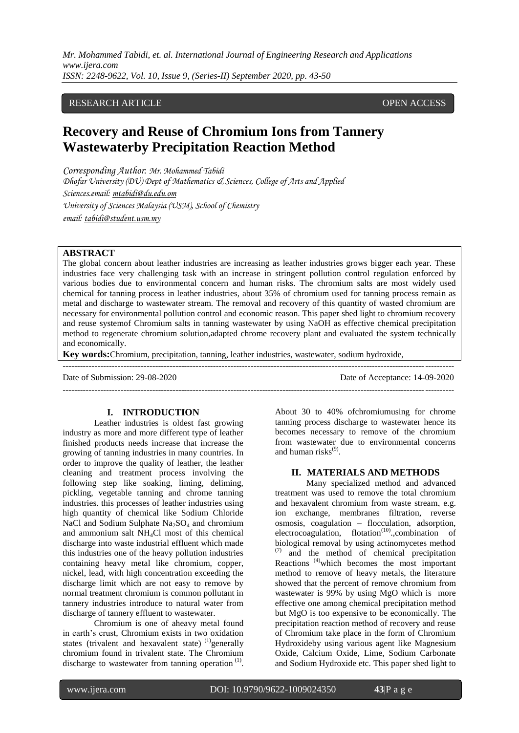# RESEARCH ARTICLE **CONSERVERS** OPEN ACCESS

# **Recovery and Reuse of Chromium Ions from Tannery Wastewaterby Precipitation Reaction Method**

*Corresponding Author*: *Mr. Mohammed Tabidi Dhofar University (DU) Dept of Mathematics & Sciences, College of Arts and Applied Sciences.email: [mtabidi@du.edu.om](mailto:mtabidi@du.edu.om) University of Sciences Malaysia (USM), School of Chemistry email: [tabidi@student.usm.my](mailto:tabidi@student.usm.my)*

# **ABSTRACT**

The global concern about leather industries are increasing as leather industries grows bigger each year. These industries face very challenging task with an increase in stringent pollution control regulation enforced by various bodies due to environmental concern and human risks. The chromium salts are most widely used chemical for tanning process in leather industries, about 35% of chromium used for tanning process remain as metal and discharge to wastewater stream. The removal and recovery of this quantity of wasted chromium are necessary for environmental pollution control and economic reason. This paper shed light to chromium recovery and reuse systemof Chromium salts in tanning wastewater by using NaOH as effective chemical precipitation method to regenerate chromium solution,adapted chrome recovery plant and evaluated the system technically and economically.

---------------------------------------------------------------------------------------------------------------------------------------

---------------------------------------------------------------------------------------------------------------------------------------

**Key words:**Chromium, precipitation, tanning, leather industries, wastewater, sodium hydroxide,

Date of Submission: 29-08-2020 Date of Acceptance: 14-09-2020

#### **I. INTRODUCTION**

Leather industries is oldest fast growing industry as more and more different type of leather finished products needs increase that increase the growing of tanning industries in many countries. In order to improve the quality of leather, the leather cleaning and treatment process involving the following step like soaking, liming, deliming, pickling, vegetable tanning and chrome tanning industries. this processes of leather industries using high quantity of chemical like Sodium Chloride NaCl and Sodium Sulphate  $Na<sub>2</sub>SO<sub>4</sub>$  and chromium and ammonium salt NH4Cl most of this chemical discharge into waste industrial effluent which made this industries one of the heavy pollution industries containing heavy metal like chromium, copper, nickel, lead, with high concentration exceeding the discharge limit which are not easy to remove by normal treatment chromium is common pollutant in tannery industries introduce to natural water from discharge of tannery effluent to wastewater.

Chromium is one of aheavy metal found in earth's crust, Chromium exists in two oxidation states (trivalent and hexavalent state)  $<sup>(1)</sup>$ generally</sup> chromium found in trivalent state. The Chromium discharge to wastewater from tanning operation $<sup>(1)</sup>$ .</sup> About 30 to 40% ofchromiumusing for chrome tanning process discharge to wastewater hence its becomes necessary to remove of the chromium from wastewater due to environmental concerns and human risks<sup>(9)</sup>.

# **II. MATERIALS AND METHODS**

Many specialized method and advanced treatment was used to remove the total chromium and hexavalent chromium from waste stream, e.g. ion exchange, membranes filtration, reverse osmosis, coagulation – flocculation, adsorption, electrocoagulation, flotation<sup>(10)</sup>.,combination of biological removal by using actinomycetes method and the method of chemical precipitation Reactions (4)which becomes the most important method to remove of heavy metals, the literature showed that the percent of remove chromium from wastewater is 99% by using MgO which is more effective one among chemical precipitation method but MgO is too expensive to be economically. The precipitation reaction method of recovery and reuse of Chromium take place in the form of Chromium Hydroxideby using various agent like Magnesium Oxide, Calcium Oxide, Lime, Sodium Carbonate and Sodium Hydroxide etc. This paper shed light to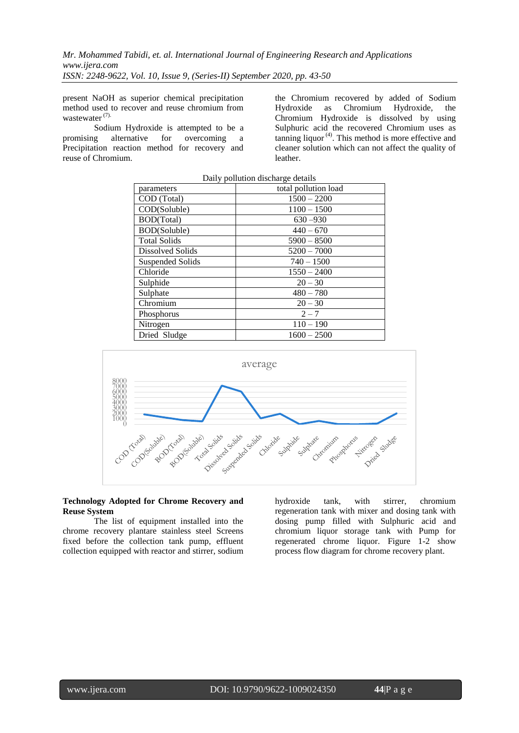present NaOH as superior chemical precipitation method used to recover and reuse chromium from wastewater<sup>(7).</sup>

Sodium Hydroxide is attempted to be a promising alternative for overcoming a Precipitation reaction method for recovery and reuse of Chromium.

the Chromium recovered by added of Sodium Hydroxide as Chromium Hydroxide, the Chromium Hydroxide is dissolved by using Sulphuric acid the recovered Chromium uses as tanning liquor (4) . This method is more effective and cleaner solution which can not affect the quality of leather.

| Daily pollution discharge details |                      |  |
|-----------------------------------|----------------------|--|
| parameters                        | total pollution load |  |
| COD (Total)                       | $1500 - 2200$        |  |
| COD(Soluble)                      | $1100 - 1500$        |  |
| <b>BOD(Total)</b>                 | $630 - 930$          |  |
| BOD(Soluble)                      | $440 - 670$          |  |
| <b>Total Solids</b>               | $5900 - 8500$        |  |
| Dissolved Solids                  | $5200 - 7000$        |  |
| Suspended Solids                  | $740 - 1500$         |  |
| Chloride                          | $1550 - 2400$        |  |
| Sulphide                          | $20 - 30$            |  |
| Sulphate                          | $480 - 780$          |  |
| Chromium                          | $20 - 30$            |  |
| Phosphorus                        | $2 - 7$              |  |
| Nitrogen                          | $110 - 190$          |  |
| Dried Sludge                      | $1600 - 2500$        |  |





#### **Technology Adopted for Chrome Recovery and Reuse System**

The list of equipment installed into the chrome recovery plantare stainless steel Screens fixed before the collection tank pump, effluent collection equipped with reactor and stirrer, sodium

hydroxide tank, with stirrer, chromium regeneration tank with mixer and dosing tank with dosing pump filled with Sulphuric acid and chromium liquor storage tank with Pump for regenerated chrome liquor. Figure 1-2 show process flow diagram for chrome recovery plant.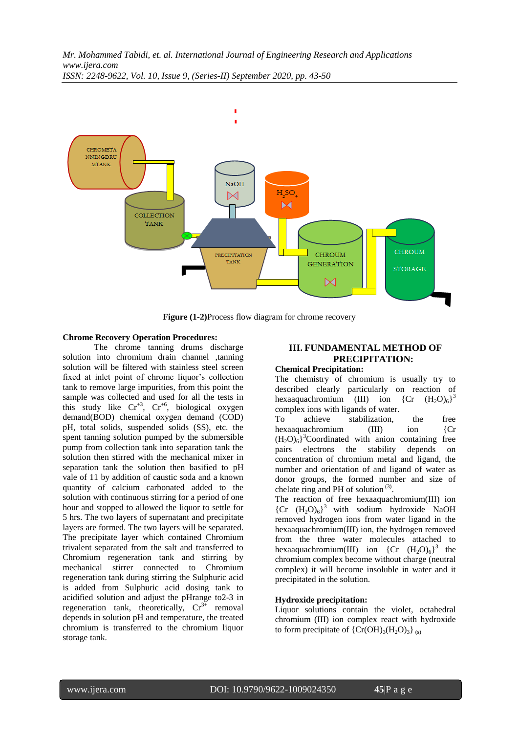

**Figure (1-2)**Process flow diagram for chrome recovery

# **Chrome Recovery Operation Procedures:**

The chrome tanning drums discharge solution into chromium drain channel ,tanning solution will be filtered with stainless steel screen fixed at inlet point of chrome liquor's collection tank to remove large impurities, from this point the sample was collected and used for all the tests in this study like  $Cr^{+3}$ ,  $Cr^{+6}$ , biological oxygen demand(BOD) chemical oxygen demand (COD) pH, total solids, suspended solids (SS), etc. the spent tanning solution pumped by the submersible pump from collection tank into separation tank the solution then stirred with the mechanical mixer in separation tank the solution then basified to pH vale of 11 by addition of caustic soda and a known quantity of calcium carbonated added to the solution with continuous stirring for a period of one hour and stopped to allowed the liquor to settle for 5 hrs. The two layers of supernatant and precipitate layers are formed. The two layers will be separated. The precipitate layer which contained Chromium trivalent separated from the salt and transferred to Chromium regeneration tank and stirring by mechanical stirrer connected to Chromium regeneration tank during stirring the Sulphuric acid is added from Sulphuric acid dosing tank to acidified solution and adjust the pHrange to2-3 in regeneration tank, theoretically,  $Cr^{3+}$  removal depends in solution pH and temperature, the treated chromium is transferred to the chromium liquor storage tank.

# **III. FUNDAMENTAL METHOD OF PRECIPITATION:**

# **Chemical Precipitation:**

The chemistry of chromium is usually try to described clearly particularly on reaction of hexaaquachromium (III) ion  ${(\text{Cr} (\text{H}_2\text{O})_6)}^3$ complex ions with ligands of water.

To achieve stabilization, the free hexaaquachromium (III) ion {Cr  $(H_2O)_6^3$ <sup>3</sup>Coordinated with anion containing free pairs electrons the stability depends on concentration of chromium metal and ligand, the number and orientation of and ligand of water as donor groups, the formed number and size of chelate ring and PH of solution<sup>(3)</sup>.

The reaction of free hexaaquachromium(III) ion  ${Cr (H<sub>2</sub>O)<sub>6</sub>}<sup>3</sup>$  with sodium hydroxide NaOH removed hydrogen ions from water ligand in the hexaaquachromium(III) ion, the hydrogen removed from the three water molecules attached to hexaaquachromium(III) ion  ${Cr (H_2O)_6}^3$  the chromium complex become without charge (neutral complex) it will become insoluble in water and it precipitated in the solution.

# **Hydroxide precipitation:**

Liquor solutions contain the violet, octahedral chromium (III) ion complex react with hydroxide to form precipitate of  ${Cr(OH)_3(H_2O)_3}$  (s)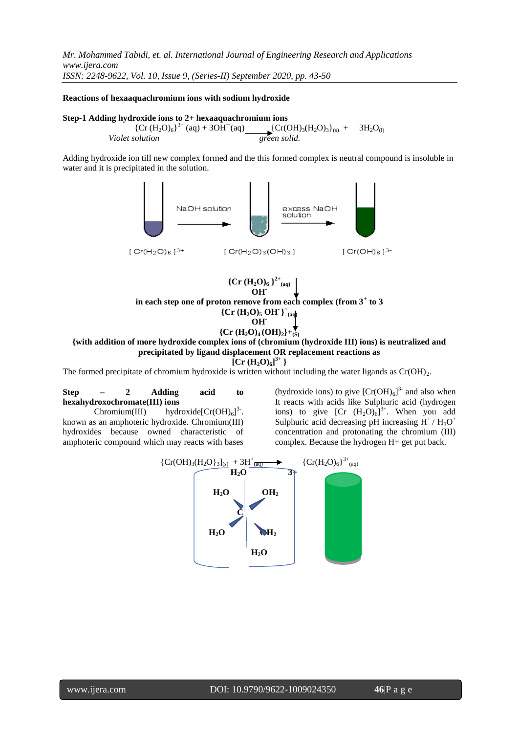#### **Reactions of hexaaquachromium ions with sodium hydroxide**

#### **Step-1 Adding hydroxide ions to 2+ hexaaquachromium ions**

 ${Cr (H<sub>2</sub>O)<sub>6</sub>}<sup>3+</sup> (aq) + 3OH<sup>-</sup>(aq)$   ${Cr(OH)<sub>3</sub>(H<sub>2</sub>O)<sub>3</sub>}<sub>(s)</sub> + 3H<sub>2</sub>O<sub>(l)</sub>$ *Violet solution* green solid.

Adding hydroxide ion till new complex formed and the this formed complex is neutral compound is insoluble in water and it is precipitated in the solution.





**{with addition of more hydroxide complex ions of (chromium (hydroxide III) ions) is neutralized and precipitated by ligand displacement OR replacement reactions as** 

 $[Cr (H<sub>2</sub>O)<sub>6</sub>]$ <sup>3+</sup> }

The formed precipitate of chromium hydroxide is written without including the water ligands as  $Cr(OH)_2$ .

**Step – 2 Adding acid to hexahydroxochromate(III) ions**

Chromium(III) hydroxide[ $Cr(OH)_{6}]^{3}$ . known as an amphoteric hydroxide. Chromium(III) hydroxides because owned characteristic of amphoteric compound which may reacts with bases

(hydroxide ions) to give  $[Cr(OH)<sub>6</sub>]$ <sup>3-</sup> and also when It reacts with acids like Sulphuric acid (hydrogen ions) to give  $[Cr (H<sub>2</sub>O)<sub>6</sub>]<sup>3+</sup>$ . When you add Sulphuric acid decreasing pH increasing  $H^+/H_3O^+$ concentration and protonating the chromium (III) complex. Because the hydrogen H+ get put back.

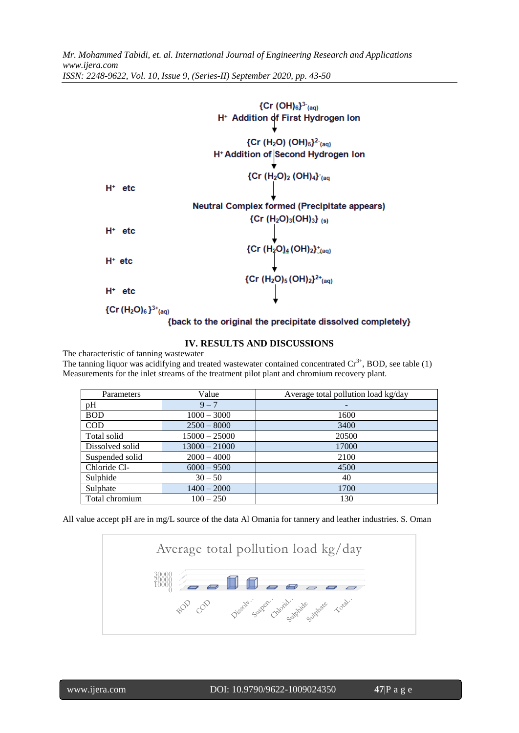

# **IV. RESULTS AND DISCUSSIONS**

The characteristic of tanning wastewater

The tanning liquor was acidifying and treated wastewater contained concentrated  $Cr^{3+}$ , BOD, see table (1) Measurements for the inlet streams of the treatment pilot plant and chromium recovery plant.

| Parameters      | Value           | Average total pollution load kg/day |
|-----------------|-----------------|-------------------------------------|
| pH              | $9 - 7$         |                                     |
| <b>BOD</b>      | $1000 - 3000$   | 1600                                |
| <b>COD</b>      | $2500 - 8000$   | 3400                                |
| Total solid     | $15000 - 25000$ | 20500                               |
| Dissolved solid | $13000 - 21000$ | 17000                               |
| Suspended solid | $2000 - 4000$   | 2100                                |
| Chloride Cl-    | $6000 - 9500$   | 4500                                |
| Sulphide        | $30 - 50$       | 40                                  |
| Sulphate        | $1400 - 2000$   | 1700                                |
| Total chromium  | $100 - 250$     | 130                                 |

All value accept pH are in mg/L source of the data Al Omania for tannery and leather industries. S. Oman

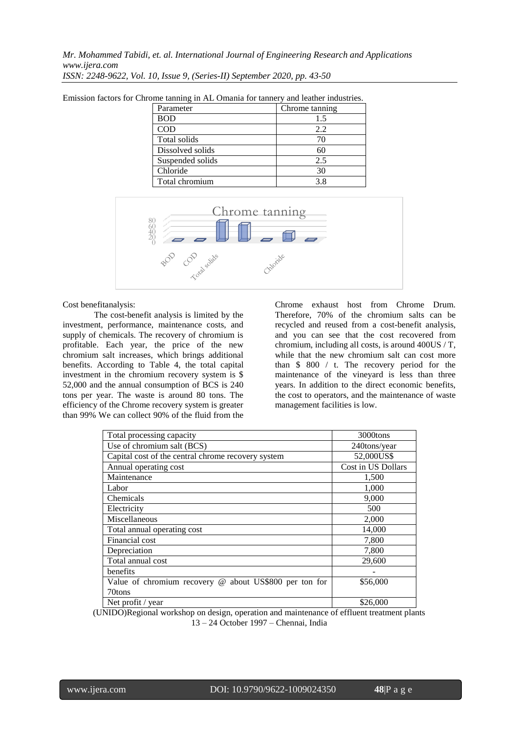| Parameter        | Chrome tanning |
|------------------|----------------|
| <b>BOD</b>       | 1.5            |
| COD              | 2.2.           |
| Total solids     | 70             |
| Dissolved solids | 60             |
| Suspended solids | 2.5            |
| Chloride         | 30             |
| Total chromium   | 38             |

Emission factors for Chrome tanning in AL Omania for tannery and leather industries.



#### Cost benefitanalysis:

The cost-benefit analysis is limited by the investment, performance, maintenance costs, and supply of chemicals. The recovery of chromium is profitable. Each year, the price of the new chromium salt increases, which brings additional benefits. According to Table 4, the total capital investment in the chromium recovery system is \$ 52,000 and the annual consumption of BCS is 240 tons per year. The waste is around 80 tons. The efficiency of the Chrome recovery system is greater than 99% We can collect 90% of the fluid from the

Chrome exhaust host from Chrome Drum. Therefore, 70% of the chromium salts can be recycled and reused from a cost-benefit analysis, and you can see that the cost recovered from chromium, including all costs, is around 400US / T, while that the new chromium salt can cost more than \$ 800 / t. The recovery period for the maintenance of the vineyard is less than three years. In addition to the direct economic benefits, the cost to operators, and the maintenance of waste management facilities is low.

| Total processing capacity                              | 3000tons           |
|--------------------------------------------------------|--------------------|
| Use of chromium salt (BCS)                             | 240tons/year       |
| Capital cost of the central chrome recovery system     | 52,000US\$         |
| Annual operating cost                                  | Cost in US Dollars |
| Maintenance                                            | 1,500              |
| Labor                                                  | 1,000              |
| Chemicals                                              | 9,000              |
| Electricity                                            | 500                |
| Miscellaneous                                          | 2,000              |
| Total annual operating cost                            | 14,000             |
| Financial cost                                         | 7,800              |
| Depreciation                                           | 7,800              |
| Total annual cost                                      | 29,600             |
| benefits                                               |                    |
| Value of chromium recovery @ about US\$800 per ton for | \$56,000           |
| 70tons                                                 |                    |
| Net profit / year                                      | \$26,000           |

(UNIDO)Regional workshop on design, operation and maintenance of effluent treatment plants 13 – 24 October 1997 – Chennai, India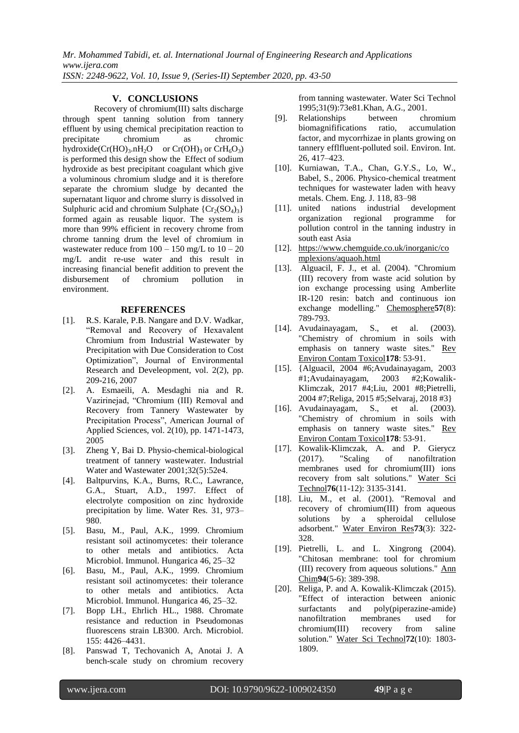#### **V. CONCLUSIONS**

Recovery of chromium(III) salts discharge through spent tanning solution from tannery effluent by using chemical precipitation reaction to precipitate chromium as chromic hydroxide( $Cr(HO)<sub>3</sub>$ .nH<sub>2</sub>O or  $Cr(OH)<sub>3</sub>$  $Cr(OH)<sub>3</sub>$  or  $CrH<sub>6</sub>O<sub>3</sub>$  $CrH<sub>6</sub>O<sub>3</sub>$ ) is performed this design show the Effect of sodium hydroxide as best precipitant coagulant which give a voluminous chromium sludge and it is therefore separate the chromium sludge by decanted the supernatant liquor and chrome slurry is dissolved in Sulphuric acid and chromium Sulphate  ${Cr_2(SO_4)_3}$ formed again as reusable liquor. The system is more than 99% efficient in recovery chrome from chrome tanning drum the level of chromium in wastewater reduce from  $100 - 150$  mg/L to  $10 - 20$ mg/L andit re-use water and this result in increasing financial benefit addition to prevent the disbursement of chromium pollution in environment.

#### **REFERENCES**

- [1]. R.S. Karale, P.B. Nangare and D.V. Wadkar, "Removal and Recovery of Hexavalent Chromium from Industrial Wastewater by Precipitation with Due Consideration to Cost Optimization", Journal of Environmental Research and Develeopment, vol. 2(2), pp. 209-216, 2007
- [2]. A. Esmaeili, A. Mesdaghi nia and R. Vazirinejad, "Chromium (III) Removal and Recovery from Tannery Wastewater by Precipitation Process", American Journal of Applied Sciences, vol. 2(10), pp. 1471-1473, 2005
- [3]. Zheng Y, Bai D. Physio-chemical-biological treatment of tannery wastewater. Industrial Water and Wastewater 2001;32(5):52e4.
- [4]. Baltpurvins, K.A., Burns, R.C., Lawrance, G.A., Stuart, A.D., 1997. Effect of electrolyte composition on zinc hydroxide precipitation by lime. Water Res. 31, 973– 980.
- [5]. Basu, M., Paul, A.K., 1999. Chromium resistant soil actinomycetes: their tolerance to other metals and antibiotics. Acta Microbiol. Immunol. Hungarica 46, 25–32
- [6]. Basu, M., Paul, A.K., 1999. Chromium resistant soil actinomycetes: their tolerance to other metals and antibiotics. Acta Microbiol. Immunol. Hungarica 46, 25–32.
- [7]. Bopp LH., Ehrlich HL., 1988. Chromate resistance and reduction in Pseudomonas fluorescens strain LB300. Arch. Microbiol. 155: 4426–4431.
- [8]. Panswad T, Techovanich A, Anotai J. A bench-scale study on chromium recovery

from tanning wastewater. Water Sci Technol 1995;31(9):73e81.Khan, A.G., 2001.

- [9]. Relationships between chromium biomagnififications factor, and mycorrhizae in plants growing on tannery efflfluent-polluted soil. Environ. Int. 26, 417–423.
- [10]. Kurniawan, T.A., Chan, G.Y.S., Lo, W., Babel, S., 2006. Physico-chemical treatment techniques for wastewater laden with heavy metals. Chem. Eng. J. 118, 83–98
- [11]. united nations industrial development organization regional programme for pollution control in the tanning industry in south east Asia
- [12]. [https://www.chemguide.co.uk/inorganic/co](https://www.chemguide.co.uk/inorganic/complexions/aquaoh.html) [mplexions/aquaoh.html](https://www.chemguide.co.uk/inorganic/complexions/aquaoh.html)
- [13]. Alguacil, F. J., et al. (2004). "Chromium (III) recovery from waste acid solution by ion exchange processing using Amberlite IR-120 resin: batch and continuous ion exchange modelling." Chemosphere**57**(8): 789-793.
- [14]. Avudainayagam, S., et al. (2003). "Chemistry of chromium in soils with emphasis on tannery waste sites." Rev Environ Contam Toxicol**178**: 53-91.
- [15]. {Alguacil, 2004 #6;Avudainayagam, 2003 #1;Avudainayagam, 2003 #2;Kowalik-Klimczak, 2017 #4;Liu, 2001 #8;Pietrelli, 2004 #7;Religa, 2015 #5;Selvaraj, 2018 #3}
- [16]. Avudainayagam, S., et al. (2003). "Chemistry of chromium in soils with emphasis on tannery waste sites." Rev Environ Contam Toxicol**178**: 53-91.
- [17]. Kowalik-Klimczak, A. and P. Gierycz (2017). "Scaling of nanofiltration membranes used for chromium(III) ions recovery from salt solutions." Water Sci Technol**76**(11-12): 3135-3141.
- [18]. Liu, M., et al. (2001). "Removal and recovery of chromium(III) from aqueous solutions by a spheroidal cellulose adsorbent." Water Environ Res**73**(3): 322- 328.
- [19]. Pietrelli, L. and L. Xingrong (2004). "Chitosan membrane: tool for chromium (III) recovery from aqueous solutions." Ann Chim**94**(5-6): 389-398.
- [20]. Religa, P. and A. Kowalik-Klimczak (2015). "Effect of interaction between anionic surfactants and poly(piperazine-amide) nanofiltration membranes used for chromium(III) recovery from saline solution." Water Sci Technol**72**(10): 1803- 1809.